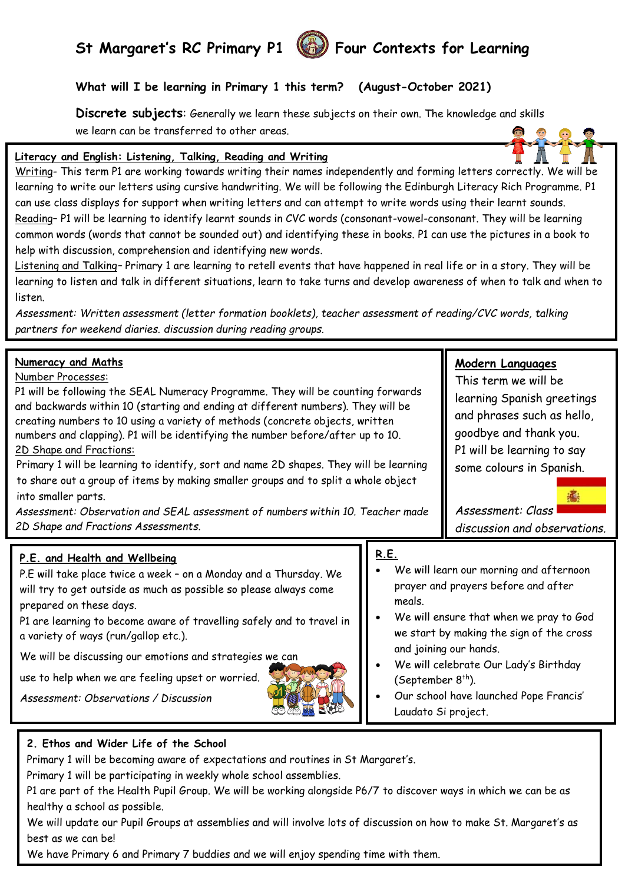# St Margaret's RC Primary P1 **(6)** Four Contexts for Learning

### **What will I be learning in Primary 1 this term? (August-October 2021)**

**Discrete subjects**: Generally we learn these subjects on their own. The knowledge and skills we learn can be transferred to other areas.



Writing- This term P1 are working towards writing their names independently and forming letters correctly. We will be learning to write our letters using cursive handwriting. We will be following the Edinburgh Literacy Rich Programme. P1 can use class displays for support when writing letters and can attempt to write words using their learnt sounds. Reading– P1 will be learning to identify learnt sounds in CVC words (consonant-vowel-consonant. They will be learning common words (words that cannot be sounded out) and identifying these in books. P1 can use the pictures in a book to help with discussion, comprehension and identifying new words.

Listening and Talking*–* Primary 1 are learning to retell events that have happened in real life or in a story. They will be learning to listen and talk in different situations, learn to take turns and develop awareness of when to talk and when to listen.

*Assessment: Written assessment (letter formation booklets), teacher assessment of reading/CVC words, talking partners for weekend diaries. discussion during reading groups.*

| Numeracy and Maths<br>Number Processes:<br>P1 will be following the SEAL Numeracy Programme. They will be counting forwards<br>and backwards within 10 (starting and ending at different numbers). They will be<br>creating numbers to 10 using a variety of methods (concrete objects, written<br>numbers and clapping). P1 will be identifying the number before/after up to 10.<br>2D Shape and Fractions:<br>Primary 1 will be learning to identify, sort and name 2D shapes. They will be learning<br>to share out a group of items by making smaller groups and to split a whole object<br>into smaller parts.<br>Assessment: Observation and SEAL assessment of numbers within 10. Teacher made<br>2D Shape and Fractions Assessments. |                       | Modern Languages<br>This term we will be<br>learning Spanish greetings<br>and phrases such as hello,<br>goodbye and thank you.<br>P1 will be learning to say<br>some colours in Spanish.<br>Assessment: Class<br>discussion and observations.                                                                                    |  |
|-----------------------------------------------------------------------------------------------------------------------------------------------------------------------------------------------------------------------------------------------------------------------------------------------------------------------------------------------------------------------------------------------------------------------------------------------------------------------------------------------------------------------------------------------------------------------------------------------------------------------------------------------------------------------------------------------------------------------------------------------|-----------------------|----------------------------------------------------------------------------------------------------------------------------------------------------------------------------------------------------------------------------------------------------------------------------------------------------------------------------------|--|
| P.E. and Health and Wellbeing<br>P.E will take place twice a week - on a Monday and a Thursday. We<br>will try to get outside as much as possible so please always come<br>prepared on these days.<br>P1 are learning to become aware of travelling safely and to travel in<br>a variety of ways (run/gallop etc.).<br>We will be discussing our emotions and strategies we can<br>use to help when we are feeling upset or worried.<br>Assessment: Observations / Discussion                                                                                                                                                                                                                                                                 | <b>R.E.</b><br>meals. | We will learn our morning and afternoon<br>prayer and prayers before and after<br>We will ensure that when we pray to God<br>we start by making the sign of the cross<br>and joining our hands.<br>We will celebrate Our Lady's Birthday<br>(September $8th$ ).<br>Our school have launched Pope Francis'<br>Laudato Si project. |  |

#### **2. Ethos and Wider Life of the School**

Primary 1 will be becoming aware of expectations and routines in St Margaret's.

Primary 1 will be participating in weekly whole school assemblies.

P1 are part of the Health Pupil Group. We will be working alongside P6/7 to discover ways in which we can be as healthy a school as possible.

We will update our Pupil Groups at assemblies and will involve lots of discussion on how to make St. Margaret's as best as we can be!

We have Primary 6 and Primary 7 buddies and we will enjoy spending time with them.